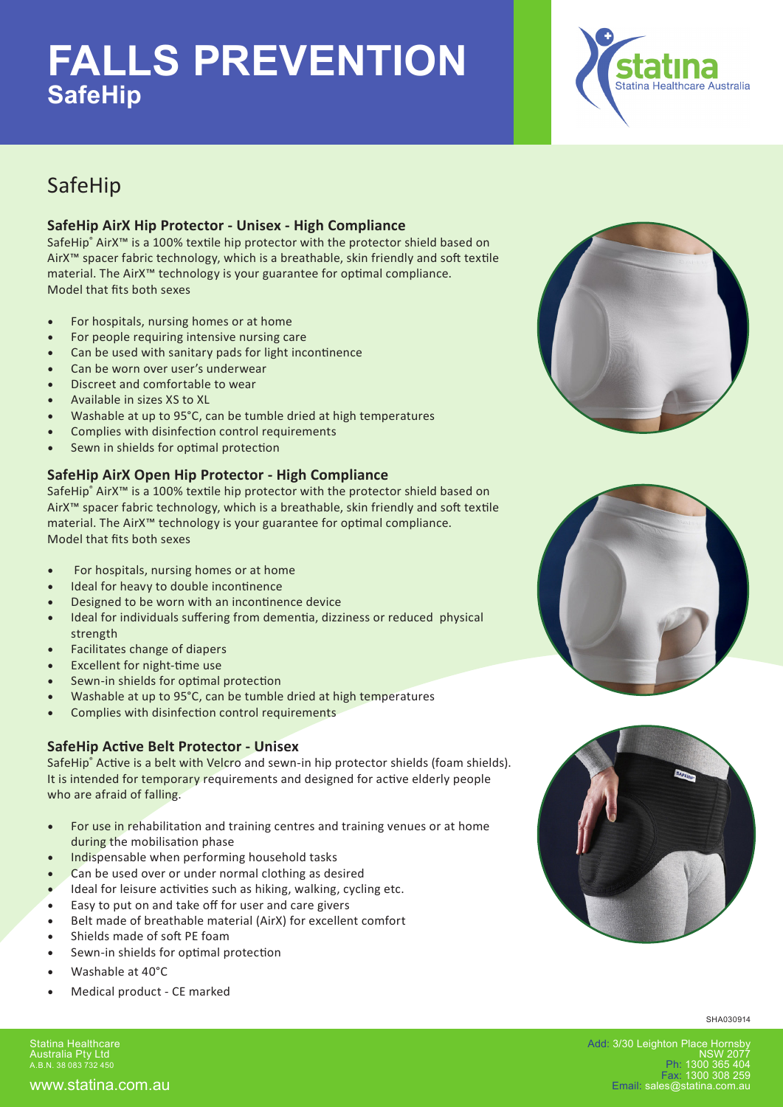# **FALLS PREVENTION SafeHip**



### SafeHip

#### **SafeHip AirX Hip Protector - Unisex - High Compliance**

SafeHip® AirX<sup>™</sup> is a 100% textile hip protector with the protector shield based on AirX™ spacer fabric technology, which is a breathable, skin friendly and soft textile material. The AirX™ technology is your guarantee for optimal compliance. Model that fits both sexes

- For hospitals, nursing homes or at home
- For people requiring intensive nursing care
- Can be used with sanitary pads for light incontinence
- Can be worn over user's underwear
- Discreet and comfortable to wear
- Available in sizes XS to XL
- Washable at up to 95°C, can be tumble dried at high temperatures
- Complies with disinfection control requirements
- Sewn in shields for optimal protection

#### **SafeHip AirX Open Hip Protector - High Compliance**

SafeHip® AirX<sup>™</sup> is a 100% textile hip protector with the protector shield based on AirX™ spacer fabric technology, which is a breathable, skin friendly and soft textile material. The AirX™ technology is your guarantee for optimal compliance. Model that fits both sexes

- For hospitals, nursing homes or at home
- Ideal for heavy to double incontinence
- Designed to be worn with an incontinence device
- Ideal for individuals suffering from dementia, dizziness or reduced physical strength
- Facilitates change of diapers
- Excellent for night-time use
- Sewn-in shields for optimal protection
- Washable at up to 95°C, can be tumble dried at high temperatures
- Complies with disinfection control requirements

#### **SafeHip Active Belt Protector - Unisex**

SafeHip® Active is a belt with Velcro and sewn-in hip protector shields (foam shields). It is intended for temporary requirements and designed for active elderly people who are afraid of falling.

- For use in rehabilitation and training centres and training venues or at home during the mobilisation phase
- Indispensable when performing household tasks
- Can be used over or under normal clothing as desired
- Ideal for leisure activities such as hiking, walking, cycling etc.
- Easy to put on and take off for user and care givers
- Belt made of breathable material (AirX) for excellent comfort
- Shields made of soft PE foam
- Sewn-in shields for optimal protection
- Washable at 40°C
- Medical product CE marked

Statina Healthcare Australia Pty Ltd A.B.N. 38 083 732 450







SHA030914